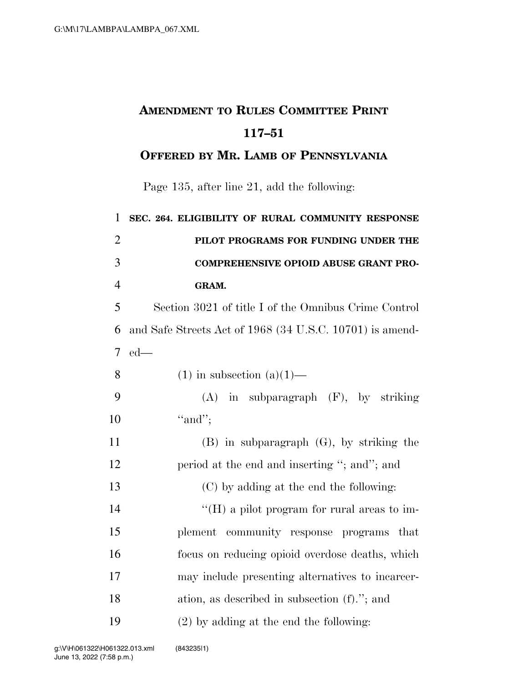## **AMENDMENT TO RULES COMMITTEE PRINT 117–51**

## **OFFERED BY MR. LAMB OF PENNSYLVANIA**

Page 135, after line 21, add the following:

| $\mathbf{1}$   | SEC. 264. ELIGIBILITY OF RURAL COMMUNITY RESPONSE        |
|----------------|----------------------------------------------------------|
| $\overline{2}$ | PILOT PROGRAMS FOR FUNDING UNDER THE                     |
| 3              | <b>COMPREHENSIVE OPIOID ABUSE GRANT PRO-</b>             |
| $\overline{4}$ | GRAM.                                                    |
| 5              | Section 3021 of title I of the Omnibus Crime Control     |
| 6              | and Safe Streets Act of 1968 (34 U.S.C. 10701) is amend- |
| $\overline{7}$ | $ed$ —                                                   |
| 8              | $(1)$ in subsection $(a)(1)$ —                           |
| 9              | $(A)$ in subparagraph $(F)$ , by striking                |
| 10             | "and";                                                   |
| 11             | $(B)$ in subparagraph $(G)$ , by striking the            |
| 12             | period at the end and inserting "; and"; and             |
| 13             | (C) by adding at the end the following:                  |
| 14             | "(H) a pilot program for rural areas to im-              |
| 15             | plement community response programs that                 |
| 16             | focus on reducing opioid overdose deaths, which          |
| 17             | may include presenting alternatives to incarcer-         |
| 18             | ation, as described in subsection $(f)$ ."; and          |
| 19             | $(2)$ by adding at the end the following:                |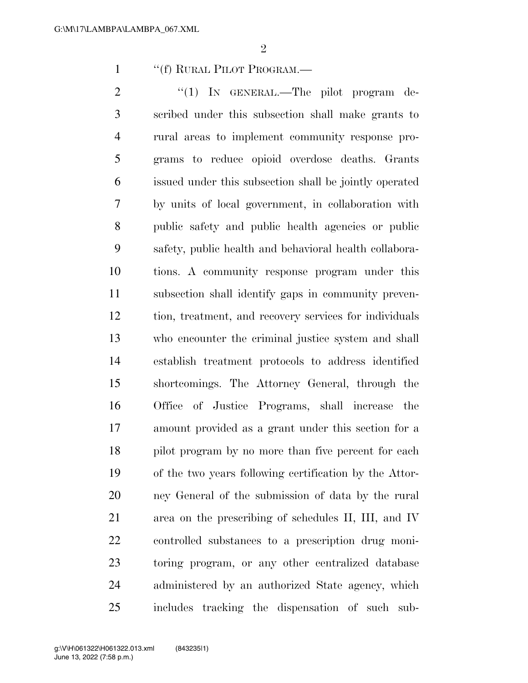1 ""(f) RURAL PILOT PROGRAM.—

2 "(1) In GENERAL.—The pilot program de- scribed under this subsection shall make grants to rural areas to implement community response pro- grams to reduce opioid overdose deaths. Grants issued under this subsection shall be jointly operated by units of local government, in collaboration with public safety and public health agencies or public safety, public health and behavioral health collabora- tions. A community response program under this subsection shall identify gaps in community preven- tion, treatment, and recovery services for individuals who encounter the criminal justice system and shall establish treatment protocols to address identified shortcomings. The Attorney General, through the Office of Justice Programs, shall increase the amount provided as a grant under this section for a 18 pilot program by no more than five percent for each of the two years following certification by the Attor- ney General of the submission of data by the rural area on the prescribing of schedules II, III, and IV controlled substances to a prescription drug moni- toring program, or any other centralized database administered by an authorized State agency, which includes tracking the dispensation of such sub